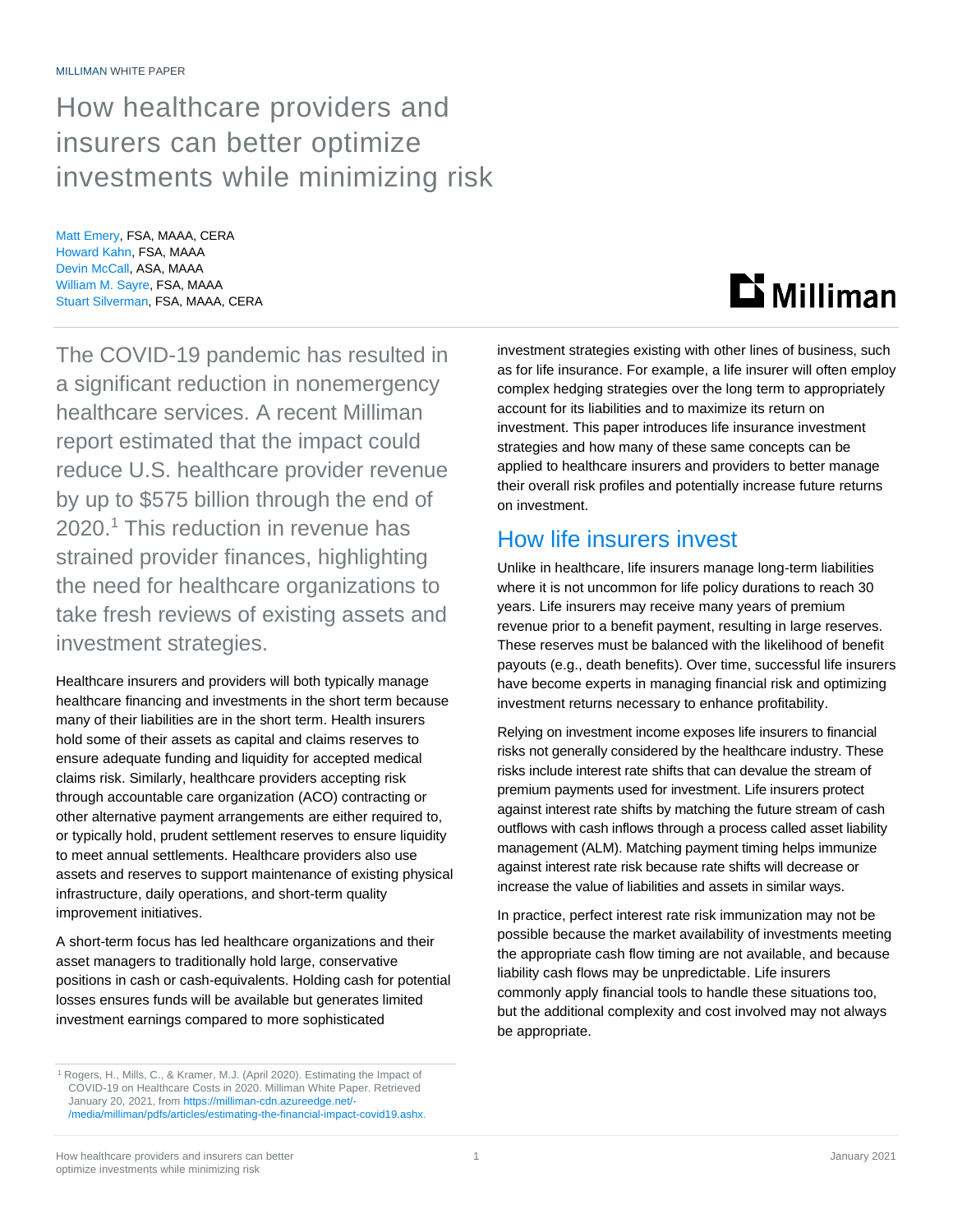## How healthcare providers and insurers can better optimize investments while minimizing risk

Matt Emery, FSA, MAAA, CERA Howard Kahn, FSA, MAAA Devin McCall, ASA, MAAA William M. Sayre, FSA, MAAA Stuart Silverman, FSA, MAAA, CERA

The COVID-19 pandemic has resulted in a significant reduction in nonemergency healthcare services. A recent Milliman report estimated that the impact could reduce U.S. healthcare provider revenue by up to \$575 billion through the end of 2020. <sup>1</sup> This reduction in revenue has strained provider finances, highlighting the need for healthcare organizations to take fresh reviews of existing assets and investment strategies.

Healthcare insurers and providers will both typically manage healthcare financing and investments in the short term because many of their liabilities are in the short term. Health insurers hold some of their assets as capital and claims reserves to ensure adequate funding and liquidity for accepted medical claims risk. Similarly, healthcare providers accepting risk through accountable care organization (ACO) contracting or other alternative payment arrangements are either required to, or typically hold, prudent settlement reserves to ensure liquidity to meet annual settlements. Healthcare providers also use assets and reserves to support maintenance of existing physical infrastructure, daily operations, and short-term quality improvement initiatives.

A short-term focus has led healthcare organizations and their asset managers to traditionally hold large, conservative positions in cash or cash-equivalents. Holding cash for potential losses ensures funds will be available but generates limited investment earnings compared to more sophisticated

How healthcare providers and insurers can better 1 and 1 and 2021 1 January 2021 optimize investments while minimizing risk



investment strategies existing with other lines of business, such as for life insurance. For example, a life insurer will often employ complex hedging strategies over the long term to appropriately account for its liabilities and to maximize its return on investment. This paper introduces life insurance investment strategies and how many of these same concepts can be applied to healthcare insurers and providers to better manage their overall risk profiles and potentially increase future returns on investment.

### How life insurers invest

Unlike in healthcare, life insurers manage long-term liabilities where it is not uncommon for life policy durations to reach 30 years. Life insurers may receive many years of premium revenue prior to a benefit payment, resulting in large reserves. These reserves must be balanced with the likelihood of benefit payouts (e.g., death benefits). Over time, successful life insurers have become experts in managing financial risk and optimizing investment returns necessary to enhance profitability.

Relying on investment income exposes life insurers to financial risks not generally considered by the healthcare industry. These risks include interest rate shifts that can devalue the stream of premium payments used for investment. Life insurers protect against interest rate shifts by matching the future stream of cash outflows with cash inflows through a process called asset liability management (ALM). Matching payment timing helps immunize against interest rate risk because rate shifts will decrease or increase the value of liabilities and assets in similar ways.

In practice, perfect interest rate risk immunization may not be possible because the market availability of investments meeting the appropriate cash flow timing are not available, and because liability cash flows may be unpredictable. Life insurers commonly apply financial tools to handle these situations too, but the additional complexity and cost involved may not always be appropriate.

<sup>1</sup> Rogers, H., Mills, C., & Kramer, M.J. (April 2020). Estimating the Impact of COVID-19 on Healthcare Costs in 2020. Milliman White Paper. Retrieved January 20, 2021, from [https://milliman-cdn.azureedge.net/-](https://milliman-cdn.azureedge.net/-/media/milliman/pdfs/articles/estimating-the-financial-impact-covid19.ashx) [/media/milliman/pdfs/articles/estimating-the-financial-impact-covid19.ashx.](https://milliman-cdn.azureedge.net/-/media/milliman/pdfs/articles/estimating-the-financial-impact-covid19.ashx)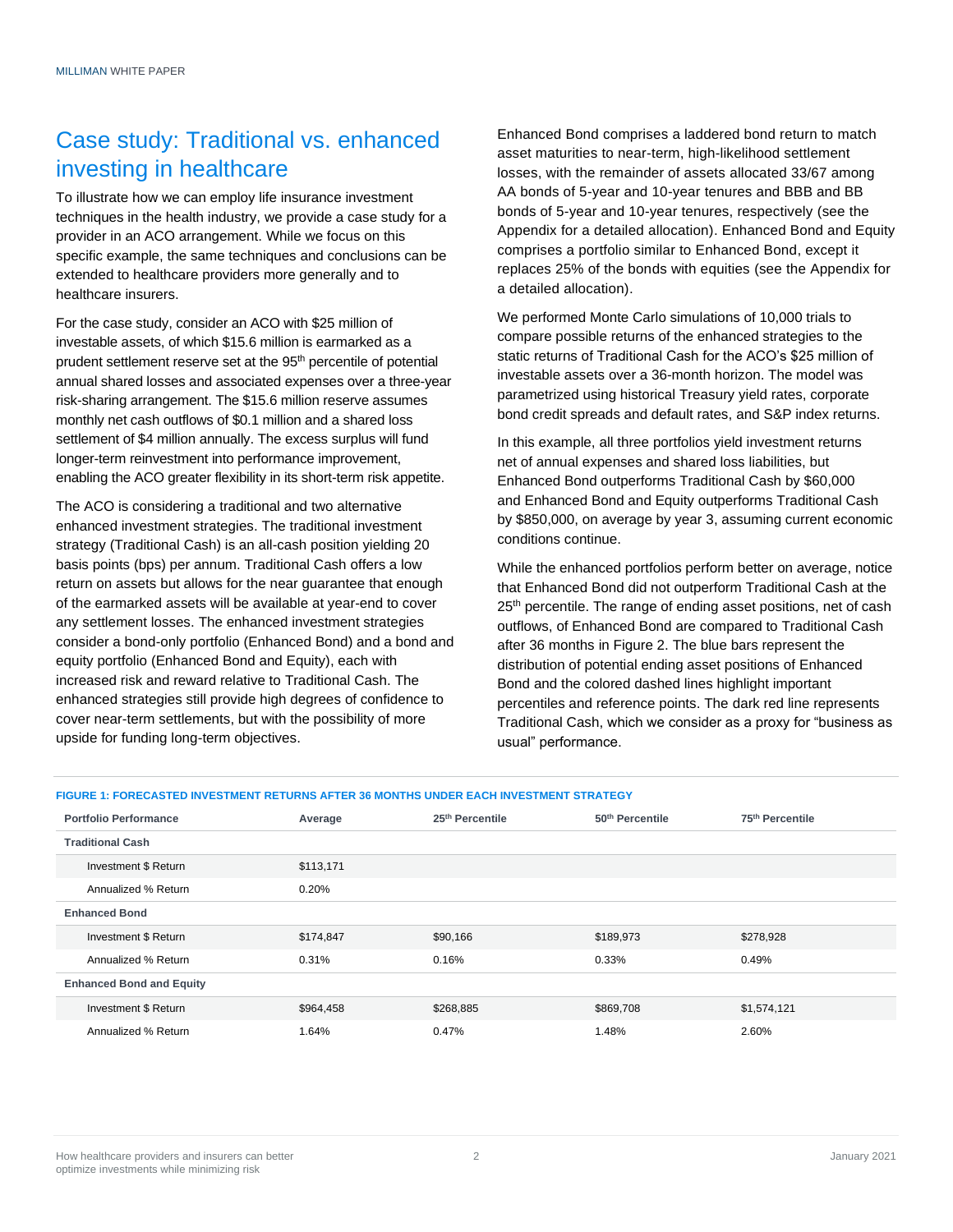## Case study: Traditional vs. enhanced investing in healthcare

To illustrate how we can employ life insurance investment techniques in the health industry, we provide a case study for a provider in an ACO arrangement. While we focus on this specific example, the same techniques and conclusions can be extended to healthcare providers more generally and to healthcare insurers.

For the case study, consider an ACO with \$25 million of investable assets, of which \$15.6 million is earmarked as a prudent settlement reserve set at the 95<sup>th</sup> percentile of potential annual shared losses and associated expenses over a three-year risk-sharing arrangement. The \$15.6 million reserve assumes monthly net cash outflows of \$0.1 million and a shared loss settlement of \$4 million annually. The excess surplus will fund longer-term reinvestment into performance improvement, enabling the ACO greater flexibility in its short-term risk appetite.

The ACO is considering a traditional and two alternative enhanced investment strategies. The traditional investment strategy (Traditional Cash) is an all-cash position yielding 20 basis points (bps) per annum. Traditional Cash offers a low return on assets but allows for the near guarantee that enough of the earmarked assets will be available at year-end to cover any settlement losses. The enhanced investment strategies consider a bond-only portfolio (Enhanced Bond) and a bond and equity portfolio (Enhanced Bond and Equity), each with increased risk and reward relative to Traditional Cash. The enhanced strategies still provide high degrees of confidence to cover near-term settlements, but with the possibility of more upside for funding long-term objectives.

Enhanced Bond comprises a laddered bond return to match asset maturities to near-term, high-likelihood settlement losses, with the remainder of assets allocated 33/67 among AA bonds of 5-year and 10-year tenures and BBB and BB bonds of 5-year and 10-year tenures, respectively (see the Appendix for a detailed allocation). Enhanced Bond and Equity comprises a portfolio similar to Enhanced Bond, except it replaces 25% of the bonds with equities (see the Appendix for a detailed allocation).

We performed Monte Carlo simulations of 10,000 trials to compare possible returns of the enhanced strategies to the static returns of Traditional Cash for the ACO's \$25 million of investable assets over a 36-month horizon. The model was parametrized using historical Treasury yield rates, corporate bond credit spreads and default rates, and S&P index returns.

In this example, all three portfolios yield investment returns net of annual expenses and shared loss liabilities, but Enhanced Bond outperforms Traditional Cash by \$60,000 and Enhanced Bond and Equity outperforms Traditional Cash by \$850,000, on average by year 3, assuming current economic conditions continue.

While the enhanced portfolios perform better on average, notice that Enhanced Bond did not outperform Traditional Cash at the 25<sup>th</sup> percentile. The range of ending asset positions, net of cash outflows, of Enhanced Bond are compared to Traditional Cash after 36 months in Figure 2. The blue bars represent the distribution of potential ending asset positions of Enhanced Bond and the colored dashed lines highlight important percentiles and reference points. The dark red line represents Traditional Cash, which we consider as a proxy for "business as usual" performance.

#### **FIGURE 1: FORECASTED INVESTMENT RETURNS AFTER 36 MONTHS UNDER EACH INVESTMENT STRATEGY**

| <b>Portfolio Performance</b>    | Average   | 25th Percentile | 50th Percentile | 75th Percentile |
|---------------------------------|-----------|-----------------|-----------------|-----------------|
| <b>Traditional Cash</b>         |           |                 |                 |                 |
| Investment \$ Return            | \$113,171 |                 |                 |                 |
| Annualized % Return             | 0.20%     |                 |                 |                 |
| <b>Enhanced Bond</b>            |           |                 |                 |                 |
| Investment \$ Return            | \$174,847 | \$90,166        | \$189,973       | \$278,928       |
| Annualized % Return             | 0.31%     | 0.16%           | 0.33%           | 0.49%           |
| <b>Enhanced Bond and Equity</b> |           |                 |                 |                 |
| Investment \$ Return            | \$964,458 | \$268,885       | \$869,708       | \$1,574,121     |
| Annualized % Return             | 1.64%     | 0.47%           | 1.48%           | 2.60%           |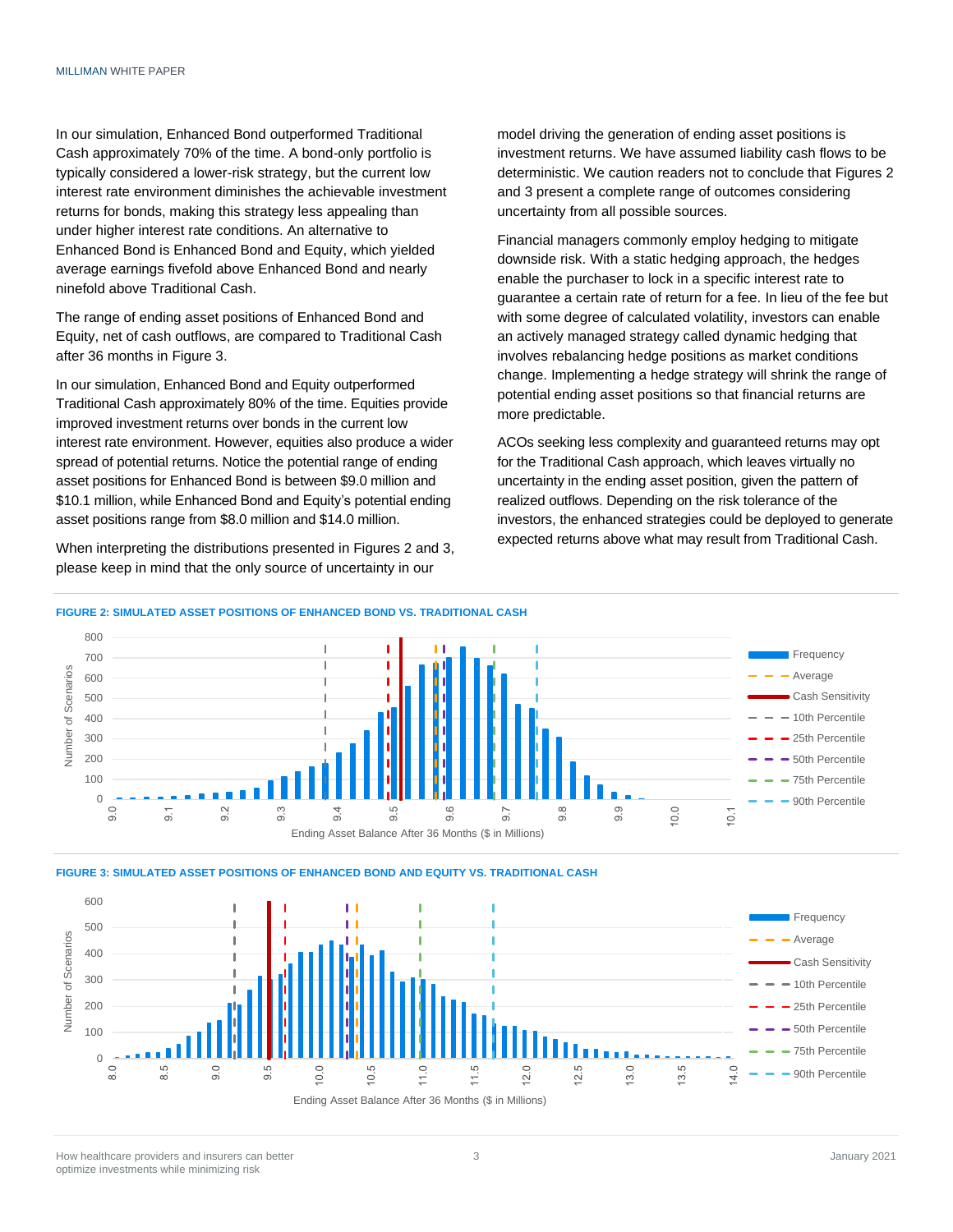In our simulation, Enhanced Bond outperformed Traditional Cash approximately 70% of the time. A bond-only portfolio is typically considered a lower-risk strategy, but the current low interest rate environment diminishes the achievable investment returns for bonds, making this strategy less appealing than under higher interest rate conditions. An alternative to Enhanced Bond is Enhanced Bond and Equity, which yielded average earnings fivefold above Enhanced Bond and nearly ninefold above Traditional Cash.

The range of ending asset positions of Enhanced Bond and Equity, net of cash outflows, are compared to Traditional Cash after 36 months in Figure 3.

In our simulation, Enhanced Bond and Equity outperformed Traditional Cash approximately 80% of the time. Equities provide improved investment returns over bonds in the current low interest rate environment. However, equities also produce a wider spread of potential returns. Notice the potential range of ending asset positions for Enhanced Bond is between \$9.0 million and \$10.1 million, while Enhanced Bond and Equity's potential ending asset positions range from \$8.0 million and \$14.0 million.

When interpreting the distributions presented in Figures 2 and 3, please keep in mind that the only source of uncertainty in our

model driving the generation of ending asset positions is investment returns. We have assumed liability cash flows to be deterministic. We caution readers not to conclude that Figures 2 and 3 present a complete range of outcomes considering uncertainty from all possible sources.

Financial managers commonly employ hedging to mitigate downside risk. With a static hedging approach, the hedges enable the purchaser to lock in a specific interest rate to guarantee a certain rate of return for a fee. In lieu of the fee but with some degree of calculated volatility, investors can enable an actively managed strategy called dynamic hedging that involves rebalancing hedge positions as market conditions change. Implementing a hedge strategy will shrink the range of potential ending asset positions so that financial returns are more predictable.

ACOs seeking less complexity and guaranteed returns may opt for the Traditional Cash approach, which leaves virtually no uncertainty in the ending asset position, given the pattern of realized outflows. Depending on the risk tolerance of the investors, the enhanced strategies could be deployed to generate expected returns above what may result from Traditional Cash.





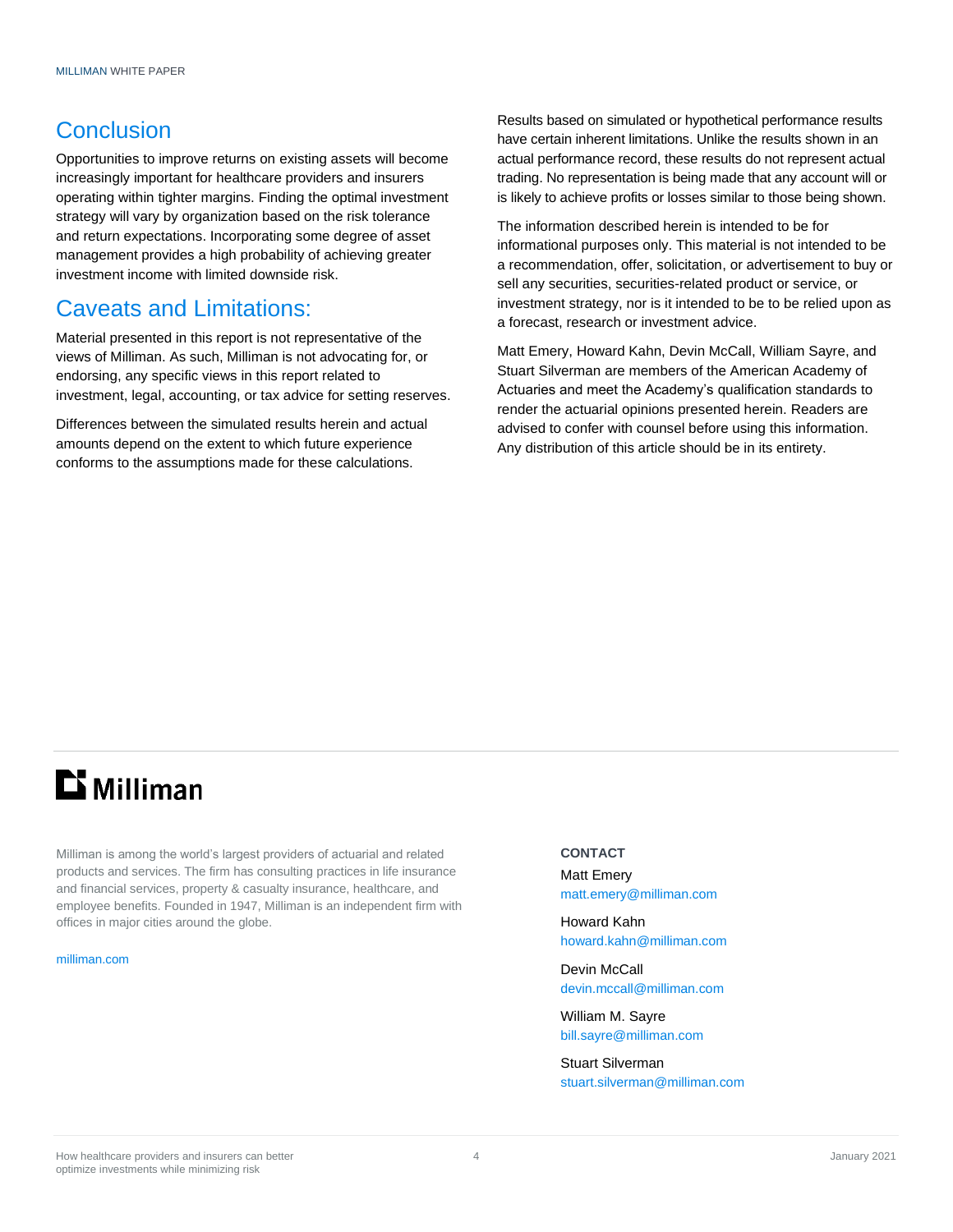#### **Conclusion**

Opportunities to improve returns on existing assets will become increasingly important for healthcare providers and insurers operating within tighter margins. Finding the optimal investment strategy will vary by organization based on the risk tolerance and return expectations. Incorporating some degree of asset management provides a high probability of achieving greater investment income with limited downside risk.

#### Caveats and Limitations:

Material presented in this report is not representative of the views of Milliman. As such, Milliman is not advocating for, or endorsing, any specific views in this report related to investment, legal, accounting, or tax advice for setting reserves.

Differences between the simulated results herein and actual amounts depend on the extent to which future experience conforms to the assumptions made for these calculations.

Results based on simulated or hypothetical performance results have certain inherent limitations. Unlike the results shown in an actual performance record, these results do not represent actual trading. No representation is being made that any account will or is likely to achieve profits or losses similar to those being shown.

The information described herein is intended to be for informational purposes only. This material is not intended to be a recommendation, offer, solicitation, or advertisement to buy or sell any securities, securities-related product or service, or investment strategy, nor is it intended to be to be relied upon as a forecast, research or investment advice.

Matt Emery, Howard Kahn, Devin McCall, William Sayre, and Stuart Silverman are members of the American Academy of Actuaries and meet the Academy's qualification standards to render the actuarial opinions presented herein. Readers are advised to confer with counsel before using this information. Any distribution of this article should be in its entirety.

# $\mathbf{D}$  Milliman

Milliman is among the world's largest providers of actuarial and related products and services. The firm has consulting practices in life insurance and financial services, property & casualty insurance, healthcare, and employee benefits. Founded in 1947, Milliman is an independent firm with offices in major cities around the globe.

[milliman.com](http://www.milliman.com/)

#### **CONTACT**

Matt Emery [matt.emery@milliman.com](mailto:matt.emery@milliman.com)

Howard Kahn [howard.kahn@milliman.com](mailto:howard.kahn@milliman.com)

Devin McCall [devin.mccall@milliman.com](mailto:devin.mccall@milliman.com)

William M. Sayre [bill.sayre@milliman.com](mailto:bill.sayre@milliman.com)

Stuart Silverman [stuart.silverman@milliman.com](mailto:stuart.silverman@milliman.com)